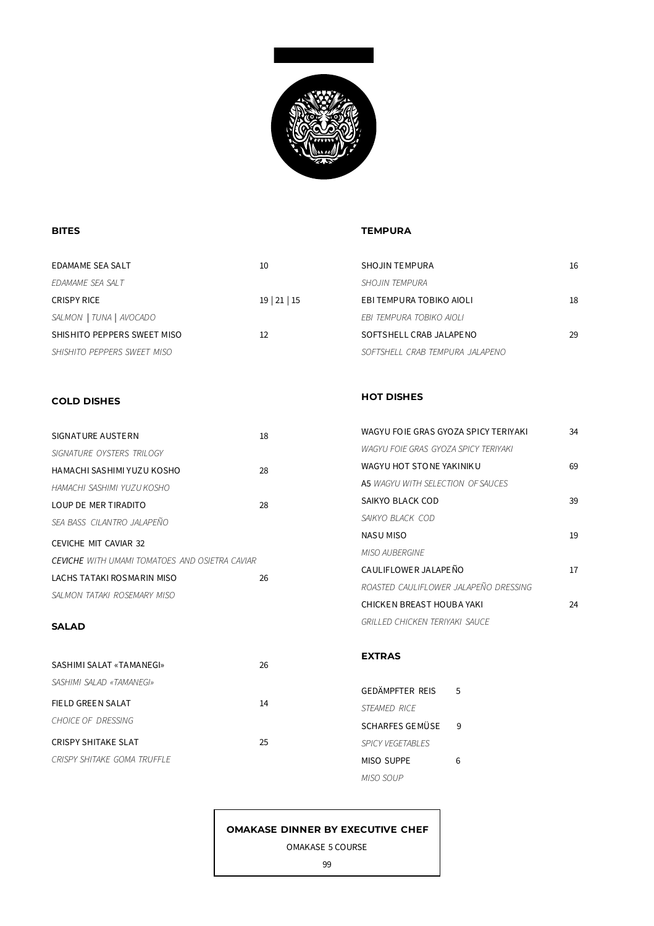

# **BITES**

## **TEMPURA**

**HOT DISHES**

*SAIKYO BLACK COD*

*MISO AUBERGINE*

WAGYU FO IE GRAS GYOZA SPICY TERIYAKI 34

WAGYU HOT STO NE YAKINIK U 69

SAIKYO BLACK COD 39

NASU MISO 19

CAULIFLOWER JALAPEÑO 17

CHICKEN BREAST HOUBA YAKI 24

*ROASTED CAULIFLOWER JALAPEÑO DRESSING*

*GRILLED CHICKEN TERIYAKI SAUCE*

*WAGYU FOIE GRAS GYOZA SPICY TERIYAKI*

A5 *WAGYU WITH SELECTION OF SAUCES*

| EDAMAME SEA SALT            | 10                   | <b>SHOJIN TEMPURA</b>           | 16 |
|-----------------------------|----------------------|---------------------------------|----|
| EDAMAME SEA SALT            |                      | <i>SHOJIN TEMPURA</i>           |    |
| <b>CRISPY RICE</b>          | $19 \mid 21 \mid 15$ | EBI TEMPURA TOBIKO AIOLI        | 18 |
| SALMON   TUNA   AVOCADO     |                      | EBI TEMPURA TOBIKO AIOLI        |    |
| SHISHITO PEPPERS SWEET MISO | 12                   | SOFTSHELL CRAB JALAPENO         | 29 |
| SHISHITO PEPPERS SWEET MISO |                      | SOFTSHELL CRAB TEMPURA JALAPENO |    |

## **COLD DISHES**

| SIGNATURE AUSTERN                                     | 18 |
|-------------------------------------------------------|----|
| SIGNATURE OYSTERS TRILOGY                             |    |
| HAMACHI SASHIMI YUZU KOSHO                            | 28 |
| HAMACHI SASHIMI YUZU KOSHO                            |    |
| LOUP DE MER TIRADITO                                  | 28 |
| SEA BASS CILANTRO JALAPEÑO                            |    |
| CEVICHE MIT CAVIAR 32                                 |    |
| <b>CEVICHE</b> WITH UMAMI TOMATOES AND OSIFTRA CAVIAR |    |
| LACHS TATAKI ROSMARIN MISO                            | 26 |
| SALMON TATAKI ROSEMARY MISO                           |    |

#### **SALAD**

|                             |    | <b>EXTRAS</b>           |   |
|-----------------------------|----|-------------------------|---|
| SASHIMI SALAT «TAMANEGI»    | 26 |                         |   |
| SASHIMI SALAD «TAMANEGI»    |    | <b>GEDÄMPFTER REIS</b>  | 5 |
| FIELD GREEN SALAT           | 14 | STEAMED RICE            |   |
| <b>CHOICE OF DRESSING</b>   |    | SCHARFES GEMÜSE         | 9 |
| <b>CRISPY SHITAKE SLAT</b>  | 25 | <b>SPICY VEGETABLES</b> |   |
| CRISPY SHITAKE GOMA TRUFFLE |    | <b>MISO SUPPE</b>       | 6 |
|                             |    | MISO SOUP               |   |

# **OMAKASE DINNER BY EXECUTIVE CHEF**

OMAKASE 5 COURSE